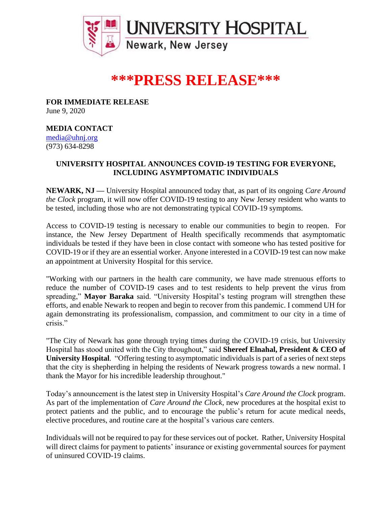

# **\*\*\*PRESS RELEASE\*\*\***

**FOR IMMEDIATE RELEASE** June 9, 2020

### **MEDIA CONTACT**

[media@uhnj.org](mailto:media@uhnj.org)  (973) 634-8298

## **UNIVERSITY HOSPITAL ANNOUNCES COVID-19 TESTING FOR EVERYONE, INCLUDING ASYMPTOMATIC INDIVIDUALS**

**NEWARK, NJ —** University Hospital announced today that, as part of its ongoing *Care Around the Clock* program, it will now offer COVID-19 testing to any New Jersey resident who wants to be tested, including those who are not demonstrating typical COVID-19 symptoms.

Access to COVID-19 testing is necessary to enable our communities to begin to reopen. For instance, the New Jersey Department of Health specifically recommends that asymptomatic individuals be tested if they have been in close contact with someone who has tested positive for COVID-19 or if they are an essential worker. Anyone interested in a COVID-19 test can now make an appointment at University Hospital for this service.

"Working with our partners in the health care community, we have made strenuous efforts to reduce the number of COVID-19 cases and to test residents to help prevent the virus from spreading," **Mayor Baraka** said. "University Hospital's testing program will strengthen these efforts, and enable Newark to reopen and begin to recover from this pandemic. I commend UH for again demonstrating its professionalism, compassion, and commitment to our city in a time of crisis."

"The City of Newark has gone through trying times during the COVID-19 crisis, but University Hospital has stood united with the City throughout," said **Shereef Elnahal, President & CEO of University Hospital**. "Offering testing to asymptomatic individuals is part of a series of next steps that the city is shepherding in helping the residents of Newark progress towards a new normal. I thank the Mayor for his incredible leadership throughout."

Today's announcement is the latest step in University Hospital's *Care Around the Clock* program. As part of the implementation of *Care Around the Clock,* new procedures at the hospital exist to protect patients and the public, and to encourage the public's return for acute medical needs, elective procedures, and routine care at the hospital's various care centers.

Individuals will not be required to pay for these services out of pocket. Rather, University Hospital will direct claims for payment to patients' insurance or existing governmental sources for payment of uninsured COVID-19 claims.